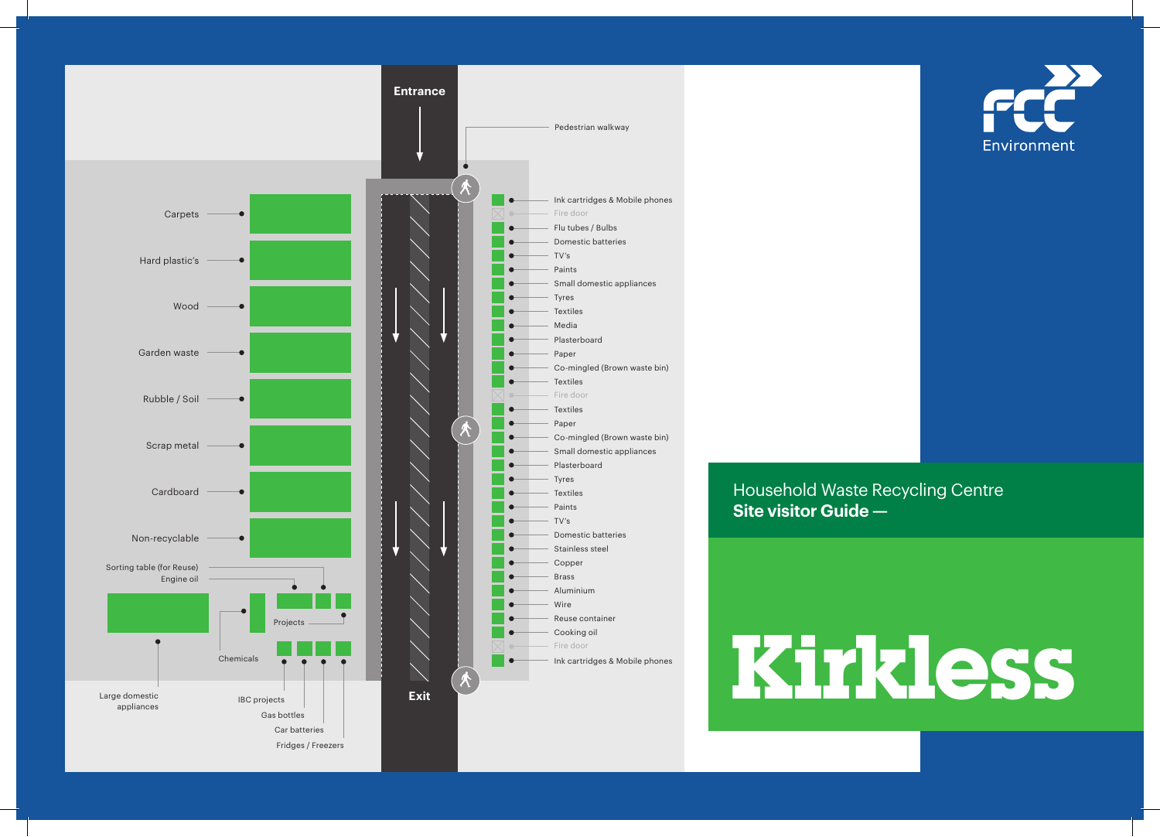

Environment

 Household Waste Recycling Centre **Site visitor Guide —** 

Eire door<br>Ink cartridges & Mobile phones **Kirkley (2000)**